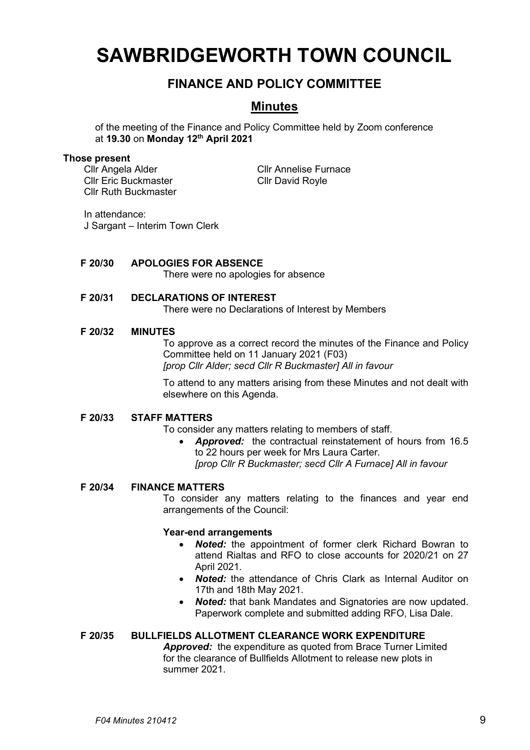# **SAWBRIDGEWORTH TOWN COUNCIL**

# **FINANCE AND POLICY COMMITTEE**

# **Minutes**

of the meeting of the Finance and Policy Committee held by Zoom conference at **19.30** on **Monday 12th April 2021**

#### **Those present**

Cllr Angela Alder Cllr Annelise Furnace Cllr Eric Buckmaster Cllr David Royle Cllr Ruth Buckmaster

In attendance: J Sargant – Interim Town Clerk

# **F 20/30 APOLOGIES FOR ABSENCE**

There were no apologies for absence

# **F 20/31 DECLARATIONS OF INTEREST**

There were no Declarations of Interest by Members

# **F 20/32 MINUTES**

To approve as a correct record the minutes of the Finance and Policy Committee held on 11 January 2021 (F03) *[prop Cllr Alder; secd Cllr R Buckmaster] All in favour*

To attend to any matters arising from these Minutes and not dealt with elsewhere on this Agenda.

#### **F 20/33 STAFF MATTERS**

To consider any matters relating to members of staff.

• *Approved:* the contractual reinstatement of hours from 16.5 to 22 hours per week for Mrs Laura Carter. *[prop Cllr R Buckmaster; secd Cllr A Furnace] All in favour*

# **F 20/34 FINANCE MATTERS**

To consider any matters relating to the finances and year end arrangements of the Council:

#### **Year-end arrangements**

- *Noted:* the appointment of former clerk Richard Bowran to attend Rialtas and RFO to close accounts for 2020/21 on 27 April 2021.
- *Noted:* the attendance of Chris Clark as Internal Auditor on 17th and 18th May 2021.
- *Noted:* that bank Mandates and Signatories are now updated. Paperwork complete and submitted adding RFO, Lisa Dale.

# **F 20/35 BULLFIELDS ALLOTMENT CLEARANCE WORK EXPENDITURE**

*Approved:* the expenditure as quoted from Brace Turner Limited for the clearance of Bullfields Allotment to release new plots in summer 2021.